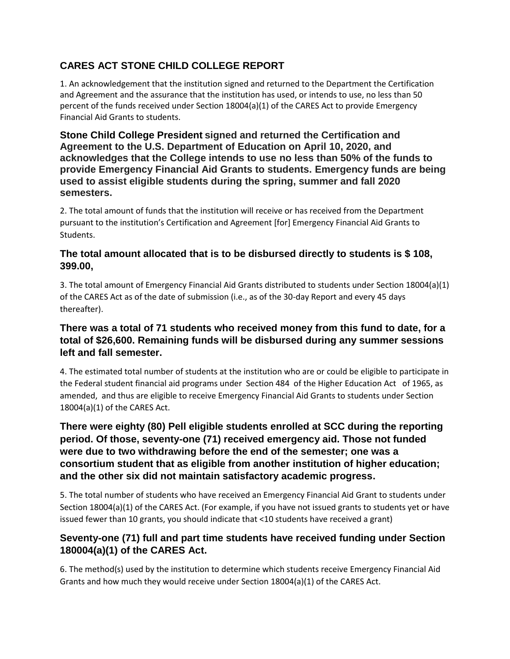# **CARES ACT STONE CHILD COLLEGE REPORT**

1. An acknowledgement that the institution signed and returned to the Department the Certification and Agreement and the assurance that the institution has used, or intends to use, no less than 50 percent of the funds received under Section 18004(a)(1) of the CARES Act to provide Emergency Financial Aid Grants to students.

**Stone Child College President signed and returned the Certification and Agreement to the U.S. Department of Education on April 10, 2020, and acknowledges that the College intends to use no less than 50% of the funds to provide Emergency Financial Aid Grants to students. Emergency funds are being used to assist eligible students during the spring, summer and fall 2020 semesters.**

2. The total amount of funds that the institution will receive or has received from the Department pursuant to the institution's Certification and Agreement [for] Emergency Financial Aid Grants to Students.

### **The total amount allocated that is to be disbursed directly to students is \$ 108, 399.00,**

3. The total amount of Emergency Financial Aid Grants distributed to students under Section 18004(a)(1) of the CARES Act as of the date of submission (i.e., as of the 30-day Report and every 45 days thereafter).

### **There was a total of 71 students who received money from this fund to date, for a total of \$26,600. Remaining funds will be disbursed during any summer sessions left and fall semester.**

4. The estimated total number of students at the institution who are or could be eligible to participate in the Federal student financial aid programs under Section 484 of the Higher Education Act of 1965, as amended, and thus are eligible to receive Emergency Financial Aid Grants to students under Section 18004(a)(1) of the CARES Act.

# **There were eighty (80) Pell eligible students enrolled at SCC during the reporting period. Of those, seventy-one (71) received emergency aid. Those not funded were due to two withdrawing before the end of the semester; one was a consortium student that as eligible from another institution of higher education; and the other six did not maintain satisfactory academic progress.**

5. The total number of students who have received an Emergency Financial Aid Grant to students under Section 18004(a)(1) of the CARES Act. (For example, if you have not issued grants to students yet or have issued fewer than 10 grants, you should indicate that <10 students have received a grant)

# **Seventy-one (71) full and part time students have received funding under Section 180004(a)(1) of the CARES Act.**

6. The method(s) used by the institution to determine which students receive Emergency Financial Aid Grants and how much they would receive under Section 18004(a)(1) of the CARES Act.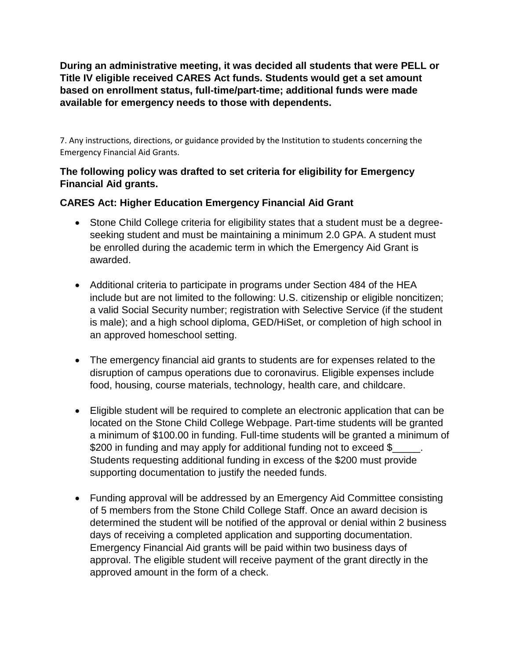**During an administrative meeting, it was decided all students that were PELL or Title IV eligible received CARES Act funds. Students would get a set amount based on enrollment status, full-time/part-time; additional funds were made available for emergency needs to those with dependents.**

7. Any instructions, directions, or guidance provided by the Institution to students concerning the Emergency Financial Aid Grants.

# **The following policy was drafted to set criteria for eligibility for Emergency Financial Aid grants.**

# **CARES Act: Higher Education Emergency Financial Aid Grant**

- Stone Child College criteria for eligibility states that a student must be a degreeseeking student and must be maintaining a minimum 2.0 GPA. A student must be enrolled during the academic term in which the Emergency Aid Grant is awarded.
- Additional criteria to participate in programs under Section 484 of the HEA include but are not limited to the following: U.S. citizenship or eligible noncitizen; a valid Social Security number; registration with Selective Service (if the student is male); and a high school diploma, GED/HiSet, or completion of high school in an approved homeschool setting.
- The emergency financial aid grants to students are for expenses related to the disruption of campus operations due to coronavirus. Eligible expenses include food, housing, course materials, technology, health care, and childcare.
- Eligible student will be required to complete an electronic application that can be located on the Stone Child College Webpage. Part-time students will be granted a minimum of \$100.00 in funding. Full-time students will be granted a minimum of \$200 in funding and may apply for additional funding not to exceed \$ Students requesting additional funding in excess of the \$200 must provide supporting documentation to justify the needed funds.
- Funding approval will be addressed by an Emergency Aid Committee consisting of 5 members from the Stone Child College Staff. Once an award decision is determined the student will be notified of the approval or denial within 2 business days of receiving a completed application and supporting documentation. Emergency Financial Aid grants will be paid within two business days of approval. The eligible student will receive payment of the grant directly in the approved amount in the form of a check.